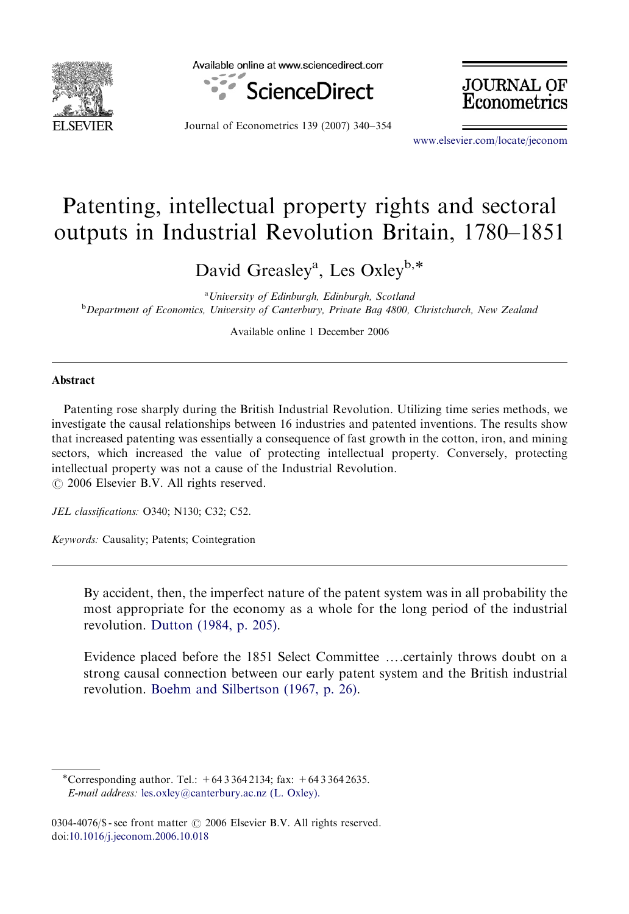

Available online at www.sciencedirect.com



Journal of Econometrics 139 (2007) 340–354

**JOURNAL OF** Econometrics

<www.elsevier.com/locate/jeconom>

## Patenting, intellectual property rights and sectoral outputs in Industrial Revolution Britain, 1780–1851

David Greasley<sup>a</sup>, Les Oxley<sup>b,\*</sup>

<sup>a</sup> University of Edinburgh, Edinburgh, Scotland <sup>b</sup>Department of Economics, University of Canterbury, Private Bag 4800, Christchurch, New Zealand

Available online 1 December 2006

## Abstract

Patenting rose sharply during the British Industrial Revolution. Utilizing time series methods, we investigate the causal relationships between 16 industries and patented inventions. The results show that increased patenting was essentially a consequence of fast growth in the cotton, iron, and mining sectors, which increased the value of protecting intellectual property. Conversely, protecting intellectual property was not a cause of the Industrial Revolution.  $\odot$  2006 Elsevier B.V. All rights reserved.

JEL classifications: O340; N130; C32; C52.

Keywords: Causality; Patents; Cointegration

By accident, then, the imperfect nature of the patent system was in all probability the most appropriate for the economy as a whole for the long period of the industrial revolution. [Dutton \(1984, p. 205\)](#page--1-0).

Evidence placed before the 1851 Select Committee ....certainly throws doubt on a strong causal connection between our early patent system and the British industrial revolution. [Boehm and Silbertson \(1967, p. 26\)](#page--1-0).

<sup>-</sup>Corresponding author. Tel.: +64 3 364 2134; fax: +64 3 364 2635. E-mail address: [les.oxley@canterbury.ac.nz \(L. Oxley\).](mailto:les.oxley@canterbury.ac.nz)

<sup>0304-4076/\$ -</sup> see front matter  $\odot$  2006 Elsevier B.V. All rights reserved. doi[:10.1016/j.jeconom.2006.10.018](dx.doi.org/10.1016/j.jeconom.2006.10.018)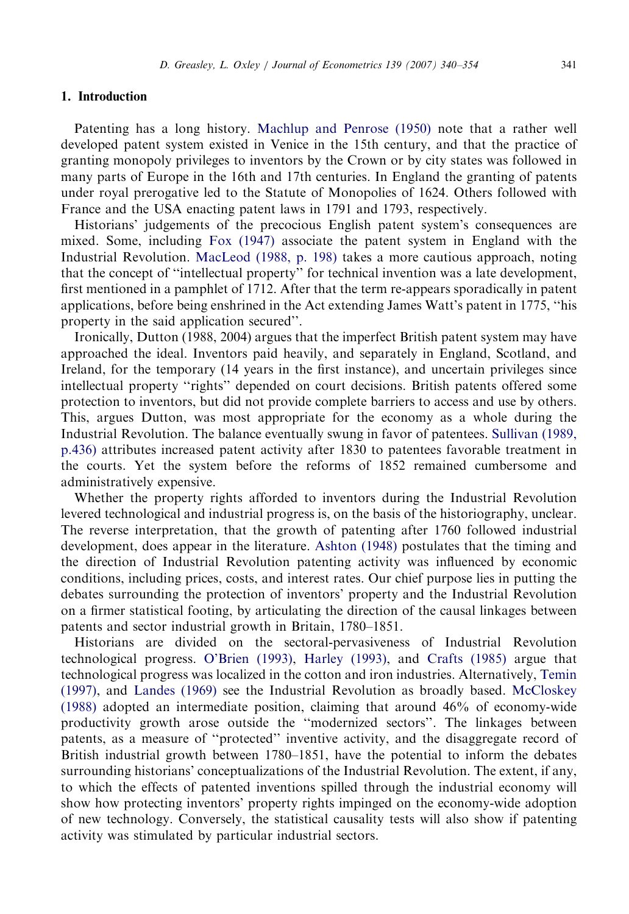## 1. Introduction

Patenting has a long history. [Machlup and Penrose \(1950\)](#page--1-0) note that a rather well developed patent system existed in Venice in the 15th century, and that the practice of granting monopoly privileges to inventors by the Crown or by city states was followed in many parts of Europe in the 16th and 17th centuries. In England the granting of patents under royal prerogative led to the Statute of Monopolies of 1624. Others followed with France and the USA enacting patent laws in 1791 and 1793, respectively.

Historians' judgements of the precocious English patent system's consequences are mixed. Some, including [Fox \(1947\)](#page--1-0) associate the patent system in England with the Industrial Revolution. [MacLeod \(1988, p. 198\)](#page--1-0) takes a more cautious approach, noting that the concept of ''intellectual property'' for technical invention was a late development, first mentioned in a pamphlet of 1712. After that the term re-appears sporadically in patent applications, before being enshrined in the Act extending James Watt's patent in 1775, ''his property in the said application secured''.

Ironically, Dutton (1988, 2004) argues that the imperfect British patent system may have approached the ideal. Inventors paid heavily, and separately in England, Scotland, and Ireland, for the temporary (14 years in the first instance), and uncertain privileges since intellectual property ''rights'' depended on court decisions. British patents offered some protection to inventors, but did not provide complete barriers to access and use by others. This, argues Dutton, was most appropriate for the economy as a whole during the Industrial Revolution. The balance eventually swung in favor of patentees. [Sullivan \(1989,](#page--1-0) [p.436\)](#page--1-0) attributes increased patent activity after 1830 to patentees favorable treatment in the courts. Yet the system before the reforms of 1852 remained cumbersome and administratively expensive.

Whether the property rights afforded to inventors during the Industrial Revolution levered technological and industrial progress is, on the basis of the historiography, unclear. The reverse interpretation, that the growth of patenting after 1760 followed industrial development, does appear in the literature. [Ashton \(1948\)](#page--1-0) postulates that the timing and the direction of Industrial Revolution patenting activity was influenced by economic conditions, including prices, costs, and interest rates. Our chief purpose lies in putting the debates surrounding the protection of inventors' property and the Industrial Revolution on a firmer statistical footing, by articulating the direction of the causal linkages between patents and sector industrial growth in Britain, 1780–1851.

Historians are divided on the sectoral-pervasiveness of Industrial Revolution technological progress. [O'Brien \(1993\),](#page--1-0) [Harley \(1993\),](#page--1-0) and [Crafts \(1985\)](#page--1-0) argue that technological progress was localized in the cotton and iron industries. Alternatively, [Temin](#page--1-0) [\(1997\),](#page--1-0) and [Landes \(1969\)](#page--1-0) see the Industrial Revolution as broadly based. [McCloskey](#page--1-0) [\(1988\)](#page--1-0) adopted an intermediate position, claiming that around 46% of economy-wide productivity growth arose outside the ''modernized sectors''. The linkages between patents, as a measure of ''protected'' inventive activity, and the disaggregate record of British industrial growth between 1780–1851, have the potential to inform the debates surrounding historians' conceptualizations of the Industrial Revolution. The extent, if any, to which the effects of patented inventions spilled through the industrial economy will show how protecting inventors' property rights impinged on the economy-wide adoption of new technology. Conversely, the statistical causality tests will also show if patenting activity was stimulated by particular industrial sectors.